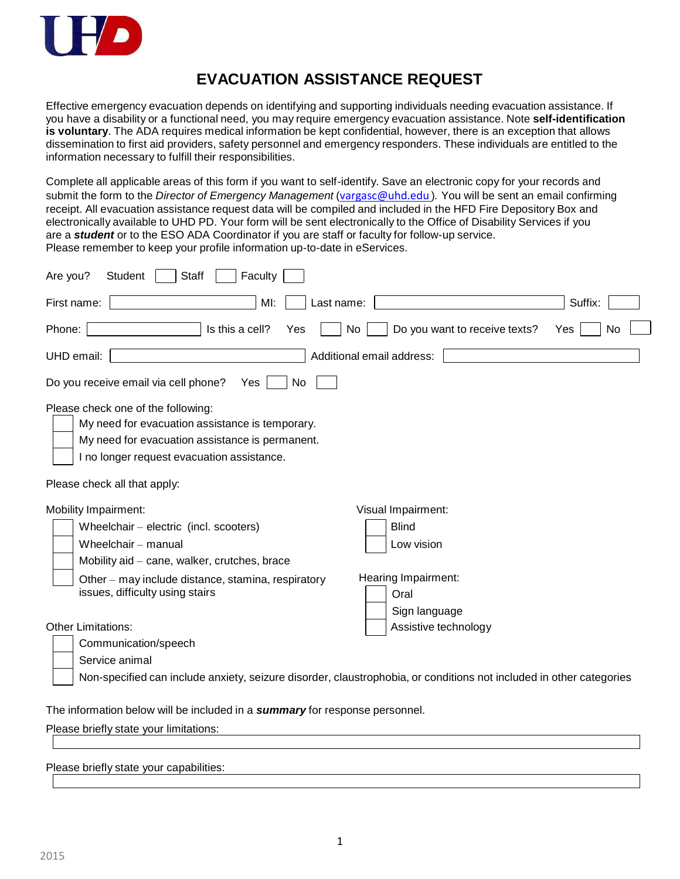

## **EVACUATION ASSISTANCE REQUEST**

Effective emergency evacuation depends on identifying and supporting individuals needing evacuation assistance. If you have a disability or a functional need, you may require emergency evacuation assistance. Note **self-identification is voluntary**. The ADA requires medical information be kept confidential, however, there is an exception that allows dissemination to first aid providers, safety personnel and emergency responders. These individuals are entitled to the information necessary to fulfill their responsibilities.

Complete all applicable areas of this form if you want to self-identify. Save an electronic copy for your records and submit the form to the *Director of Emergency Management* ([vargasc@uhd.edu](mailto:vargasc@uhd.edu) )*.* You will be sent an email confirming receipt. All evacuation assistance request data will be compiled and included in the HFD Fire Depository Box and electronically available to UHD PD. Your form will be sent electronically to the Office of Disability Services if you are a *student* or to the ESO ADA Coordinator if you are staff or faculty for follow-up service. Please remember to keep your profile information up-to-date in eServices.

| <b>Staff</b><br>Faculty<br>Are you?<br>Student                                                                                                                                         |                                                                                                                     |  |  |
|----------------------------------------------------------------------------------------------------------------------------------------------------------------------------------------|---------------------------------------------------------------------------------------------------------------------|--|--|
| MI:<br>First name:<br>Last name:                                                                                                                                                       | Suffix:                                                                                                             |  |  |
| Is this a cell?<br>Phone:<br>Yes                                                                                                                                                       | Do you want to receive texts?<br>No<br>No<br>Yes                                                                    |  |  |
| UHD email:                                                                                                                                                                             | Additional email address:                                                                                           |  |  |
| Do you receive email via cell phone?<br>No<br>Yes                                                                                                                                      |                                                                                                                     |  |  |
| Please check one of the following:<br>My need for evacuation assistance is temporary.<br>My need for evacuation assistance is permanent.<br>I no longer request evacuation assistance. |                                                                                                                     |  |  |
| Please check all that apply:                                                                                                                                                           |                                                                                                                     |  |  |
| Mobility Impairment:                                                                                                                                                                   | Visual Impairment:                                                                                                  |  |  |
| Wheelchair - electric (incl. scooters)                                                                                                                                                 | <b>Blind</b>                                                                                                        |  |  |
| Wheelchair - manual                                                                                                                                                                    | Low vision                                                                                                          |  |  |
| Mobility aid - cane, walker, crutches, brace                                                                                                                                           |                                                                                                                     |  |  |
| Other - may include distance, stamina, respiratory<br>issues, difficulty using stairs                                                                                                  | Hearing Impairment:                                                                                                 |  |  |
|                                                                                                                                                                                        | Oral<br>Sign language                                                                                               |  |  |
| <b>Other Limitations:</b>                                                                                                                                                              | Assistive technology                                                                                                |  |  |
| Communication/speech                                                                                                                                                                   |                                                                                                                     |  |  |
| Service animal                                                                                                                                                                         |                                                                                                                     |  |  |
|                                                                                                                                                                                        | Non-specified can include anxiety, seizure disorder, claustrophobia, or conditions not included in other categories |  |  |
| The information below will be included in a summary for response personnel.                                                                                                            |                                                                                                                     |  |  |
| Please briefly state your limitations:                                                                                                                                                 |                                                                                                                     |  |  |
|                                                                                                                                                                                        |                                                                                                                     |  |  |

Please briefly state your capabilities: